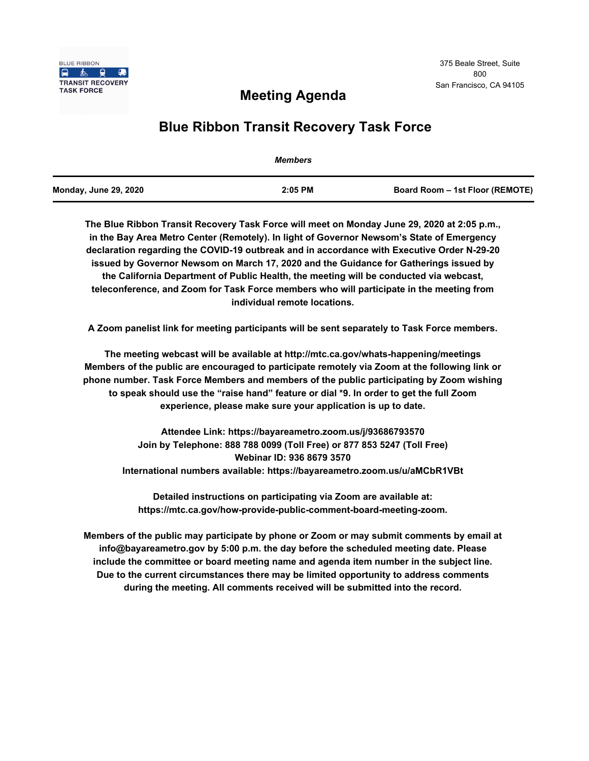

## **Meeting Agenda**

# **Blue Ribbon Transit Recovery Task Force**

|                       | <b>Members</b> |                                 |
|-----------------------|----------------|---------------------------------|
| Monday, June 29, 2020 | $2:05$ PM      | Board Room - 1st Floor (REMOTE) |

**The Blue Ribbon Transit Recovery Task Force will meet on Monday June 29, 2020 at 2:05 p.m., in the Bay Area Metro Center (Remotely). In light of Governor Newsom's State of Emergency declaration regarding the COVID-19 outbreak and in accordance with Executive Order N-29-20 issued by Governor Newsom on March 17, 2020 and the Guidance for Gatherings issued by the California Department of Public Health, the meeting will be conducted via webcast, teleconference, and Zoom for Task Force members who will participate in the meeting from individual remote locations.** 

**A Zoom panelist link for meeting participants will be sent separately to Task Force members.**

**The meeting webcast will be available at http://mtc.ca.gov/whats-happening/meetings Members of the public are encouraged to participate remotely via Zoom at the following link or phone number. Task Force Members and members of the public participating by Zoom wishing to speak should use the "raise hand" feature or dial \*9. In order to get the full Zoom experience, please make sure your application is up to date.**

**Attendee Link: https://bayareametro.zoom.us/j/93686793570 Join by Telephone: 888 788 0099 (Toll Free) or 877 853 5247 (Toll Free) Webinar ID: 936 8679 3570 International numbers available: https://bayareametro.zoom.us/u/aMCbR1VBt**

**Detailed instructions on participating via Zoom are available at: https://mtc.ca.gov/how-provide-public-comment-board-meeting-zoom.**

**Members of the public may participate by phone or Zoom or may submit comments by email at info@bayareametro.gov by 5:00 p.m. the day before the scheduled meeting date. Please include the committee or board meeting name and agenda item number in the subject line. Due to the current circumstances there may be limited opportunity to address comments during the meeting. All comments received will be submitted into the record.**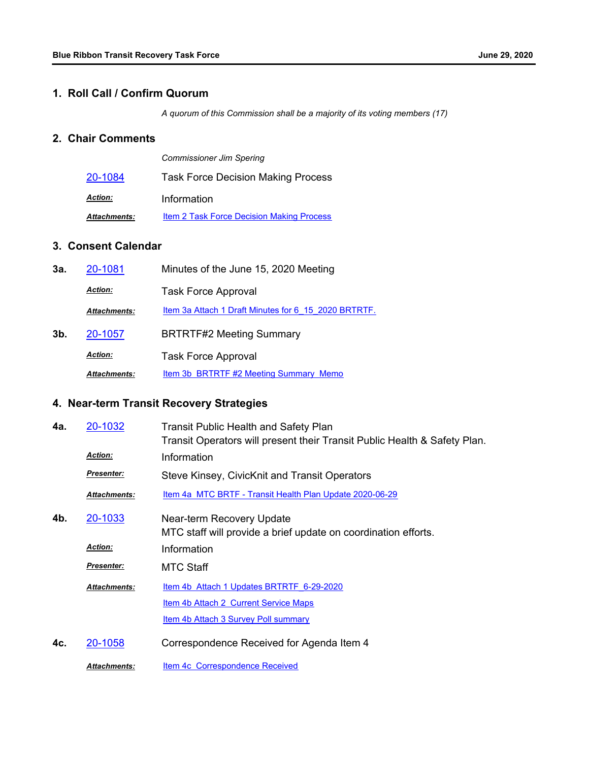### **1. Roll Call / Confirm Quorum**

*A quorum of this Commission shall be a majority of its voting members (17)*

### **2. Chair Comments**

|                     | <b>Commissioner Jim Spering</b>                  |  |
|---------------------|--------------------------------------------------|--|
| 20-1084             | <b>Task Force Decision Making Process</b>        |  |
| <b>Action:</b>      | Information                                      |  |
| <b>Attachments:</b> | <b>Item 2 Task Force Decision Making Process</b> |  |

### **3. Consent Calendar**

| 3а. | 20-1081             | Minutes of the June 15, 2020 Meeting                 |  |
|-----|---------------------|------------------------------------------------------|--|
|     | <b>Action:</b>      | <b>Task Force Approval</b>                           |  |
|     | <b>Attachments:</b> | Item 3a Attach 1 Draft Minutes for 6 15 2020 BRTRTF. |  |
| 3b. | 20-1057             | <b>BRTRTF#2 Meeting Summary</b>                      |  |
|     | <b>Action:</b>      | <b>Task Force Approval</b>                           |  |
|     | <b>Attachments:</b> | Item 3b_BRTRTF #2 Meeting Summary Memo               |  |

## **4. Near-term Transit Recovery Strategies**

| 4а. | 20-1032             | <b>Transit Public Health and Safety Plan</b>                                                |
|-----|---------------------|---------------------------------------------------------------------------------------------|
|     |                     | Transit Operators will present their Transit Public Health & Safety Plan.                   |
|     | <b>Action:</b>      | Information                                                                                 |
|     | <b>Presenter:</b>   | Steve Kinsey, CivicKnit and Transit Operators                                               |
|     | Attachments:        | Item 4a MTC BRTF - Transit Health Plan Update 2020-06-29                                    |
| 4b. | 20-1033             | Near-term Recovery Update<br>MTC staff will provide a brief update on coordination efforts. |
|     | <b>Action:</b>      | Information                                                                                 |
|     | <u>Presenter:</u>   | <b>MTC Staff</b>                                                                            |
|     | <b>Attachments:</b> | Item 4b Attach 1 Updates BRTRTF 6-29-2020                                                   |
|     |                     | Item 4b Attach 2 Current Service Maps                                                       |
|     |                     | <b>Item 4b Attach 3 Survey Poll summary</b>                                                 |
| 4с. | 20-1058             | Correspondence Received for Agenda Item 4                                                   |
|     | <b>Attachments:</b> | Item 4c Correspondence Received                                                             |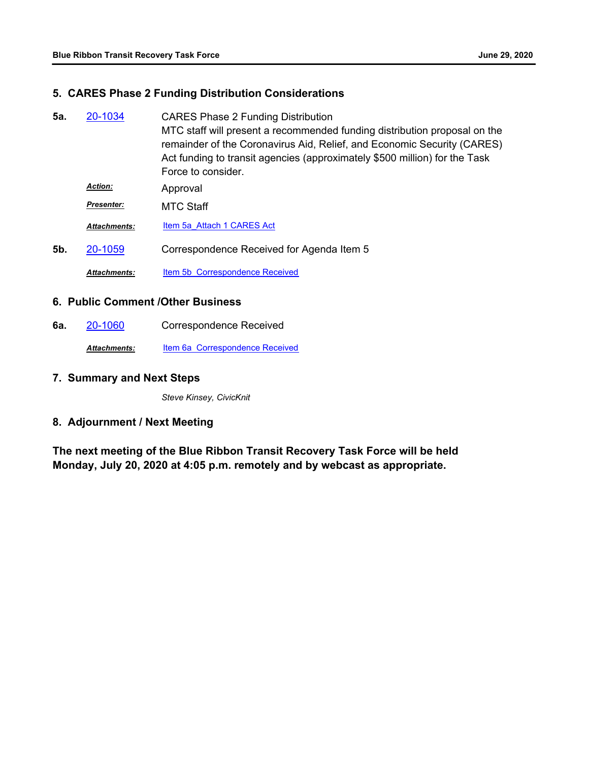#### **5. CARES Phase 2 Funding Distribution Considerations**

CARES Phase 2 Funding Distribution MTC staff will present a recommended funding distribution proposal on the remainder of the Coronavirus Aid, Relief, and Economic Security (CARES) Act funding to transit agencies (approximately \$500 million) for the Task Force to consider. **5a.** [20-1034](http://mtc.legistar.com/gateway.aspx?m=l&id=/matter.aspx?key=20898) Approval *Action:* MTC Staff *Presenter:* Attachments: [Item 5a\\_Attach 1 CARES Act](http://mtc.legistar.com/gateway.aspx?M=F&ID=486ca1fb-8c10-4b36-98af-46353ff09067.pdf) **5b.** [20-1059](http://mtc.legistar.com/gateway.aspx?m=l&id=/matter.aspx?key=20923) Correspondence Received for Agenda Item 5 Attachments: **[Item 5b Correspondence Received](http://mtc.legistar.com/gateway.aspx?M=F&ID=7ec2b01e-1af3-4075-963f-58ea094d67d3.pdf)** 

#### **6. Public Comment /Other Business**

**6a.** [20-1060](http://mtc.legistar.com/gateway.aspx?m=l&id=/matter.aspx?key=20924) Correspondence Received

Attachments: **[Item 6a Correspondence Received](http://mtc.legistar.com/gateway.aspx?M=F&ID=ebda4336-59e3-47ff-9aaf-65526994941a.pdf)** 

#### **7. Summary and Next Steps**

*Steve Kinsey, CivicKnit*

### **8. Adjournment / Next Meeting**

**The next meeting of the Blue Ribbon Transit Recovery Task Force will be held Monday, July 20, 2020 at 4:05 p.m. remotely and by webcast as appropriate.**